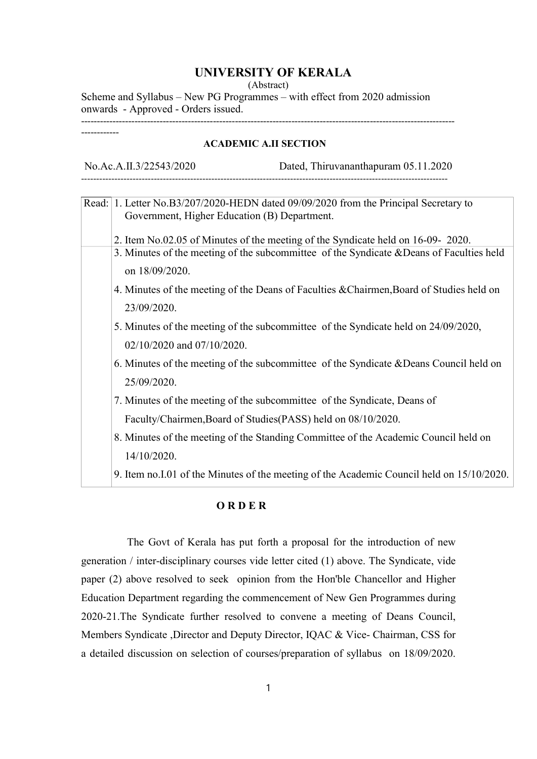# UNIVERSITY OF KERALA

(Abstract)

Scheme and Syllabus – New PG Programmes – with effect from 2020 admission onwards - Approved - Orders issued. -----------------------------------------------------------------------------------------------------------------------

------------

### ACADEMIC A.II SECTION

No.Ac.A.II.3/22543/2020 Dated, Thiruvananthapuram 05.11.2020 -------------------------------------------------------------------------------------------------------------------------

|  | Read: 1. Letter No.B3/207/2020-HEDN dated 09/09/2020 from the Principal Secretary to       |
|--|--------------------------------------------------------------------------------------------|
|  | Government, Higher Education (B) Department.                                               |
|  | 2. Item No.02.05 of Minutes of the meeting of the Syndicate held on 16-09- 2020.           |
|  | 3. Minutes of the meeting of the subcommittee of the Syndicate & Deans of Faculties held   |
|  | on 18/09/2020.                                                                             |
|  | 4. Minutes of the meeting of the Deans of Faculties & Chairmen, Board of Studies held on   |
|  | 23/09/2020.                                                                                |
|  | 5. Minutes of the meeting of the subcommittee of the Syndicate held on 24/09/2020,         |
|  | 02/10/2020 and 07/10/2020.                                                                 |
|  | 6. Minutes of the meeting of the subcommittee of the Syndicate & Deans Council held on     |
|  | 25/09/2020.                                                                                |
|  | 7. Minutes of the meeting of the subcommittee of the Syndicate, Deans of                   |
|  | Faculty/Chairmen, Board of Studies (PASS) held on 08/10/2020.                              |
|  | 8. Minutes of the meeting of the Standing Committee of the Academic Council held on        |
|  | 14/10/2020.                                                                                |
|  | 9. Item no. I.01 of the Minutes of the meeting of the Academic Council held on 15/10/2020. |

### O R D E R

 The Govt of Kerala has put forth a proposal for the introduction of new generation / inter-disciplinary courses vide letter cited (1) above. The Syndicate, vide paper (2) above resolved to seek opinion from the Hon'ble Chancellor and Higher Education Department regarding the commencement of New Gen Programmes during 2020-21.The Syndicate further resolved to convene a meeting of Deans Council, Members Syndicate ,Director and Deputy Director, IQAC & Vice- Chairman, CSS for a detailed discussion on selection of courses/preparation of syllabus on 18/09/2020.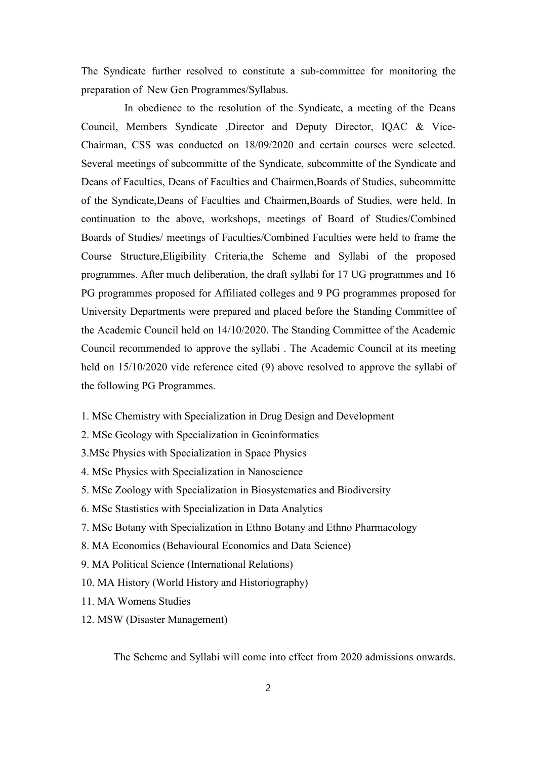The Syndicate further resolved to constitute a sub-committee for monitoring the preparation of New Gen Programmes/Syllabus.

 In obedience to the resolution of the Syndicate, a meeting of the Deans Council, Members Syndicate ,Director and Deputy Director, IQAC & Vice-Chairman, CSS was conducted on 18/09/2020 and certain courses were selected. Several meetings of subcommitte of the Syndicate, subcommitte of the Syndicate and Deans of Faculties, Deans of Faculties and Chairmen,Boards of Studies, subcommitte of the Syndicate,Deans of Faculties and Chairmen,Boards of Studies, were held. In continuation to the above, workshops, meetings of Board of Studies/Combined Boards of Studies/ meetings of Faculties/Combined Faculties were held to frame the Course Structure,Eligibility Criteria,the Scheme and Syllabi of the proposed programmes. After much deliberation, the draft syllabi for 17 UG programmes and 16 PG programmes proposed for Affiliated colleges and 9 PG programmes proposed for University Departments were prepared and placed before the Standing Committee of the Academic Council held on 14/10/2020. The Standing Committee of the Academic Council recommended to approve the syllabi . The Academic Council at its meeting held on 15/10/2020 vide reference cited (9) above resolved to approve the syllabi of the following PG Programmes.

- 1. MSc Chemistry with Specialization in Drug Design and Development
- 2. MSc Geology with Specialization in Geoinformatics
- 3.MSc Physics with Specialization in Space Physics
- 4. MSc Physics with Specialization in Nanoscience
- 5. MSc Zoology with Specialization in Biosystematics and Biodiversity
- 6. MSc Stastistics with Specialization in Data Analytics
- 7. MSc Botany with Specialization in Ethno Botany and Ethno Pharmacology
- 8. MA Economics (Behavioural Economics and Data Science)
- 9. MA Political Science (International Relations)
- 10. MA History (World History and Historiography)
- 11. MA Womens Studies
- 12. MSW (Disaster Management)

The Scheme and Syllabi will come into effect from 2020 admissions onwards.